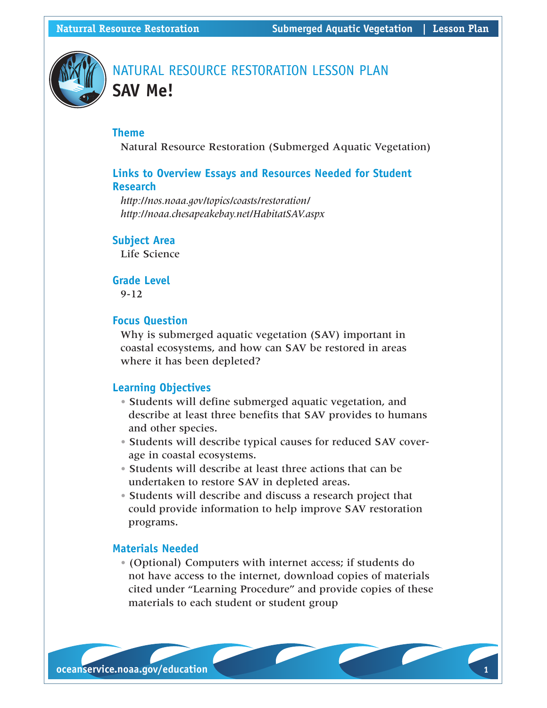

## NATURAL RESOURCE RESTORATION LESSON PLAN **SAV Me!**

## **Theme**

Natural Resource Restoration (Submerged Aquatic Vegetation)

## **Links to Overview Essays and Resources Needed for Student Research**

*http://nos.noaa.gov/topics/coasts/restoration/ http://noaa.chesapeakebay.net/HabitatSAV.aspx*

## **Subject Area**

Life Science

## **Grade Level**

9-12

## **Focus Question**

Why is submerged aquatic vegetation (SAV) important in coastal ecosystems, and how can SAV be restored in areas where it has been depleted?

## **Learning Objectives**

- Students will define submerged aquatic vegetation, and describe at least three benefits that SAV provides to humans and other species.
- Students will describe typical causes for reduced SAV coverage in coastal ecosystems.
- Students will describe at least three actions that can be undertaken to restore SAV in depleted areas.
- Students will describe and discuss a research project that could provide information to help improve SAV restoration programs.

## **Materials Needed**

• (Optional) Computers with internet access; if students do not have access to the internet, download copies of materials cited under "Learning Procedure" and provide copies of these materials to each student or student group

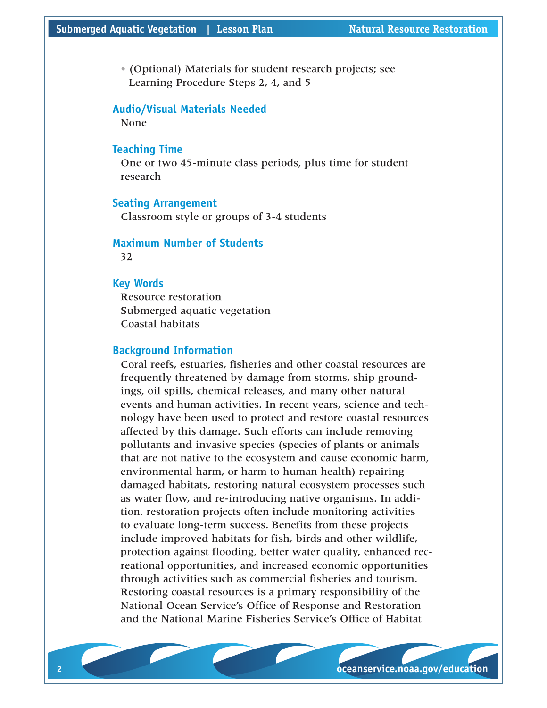• (Optional) Materials for student research projects; see Learning Procedure Steps 2, 4, and 5

#### **Audio/Visual Materials Needed**

None

### **Teaching Time**

One or two 45-minute class periods, plus time for student research

### **Seating Arrangement**

Classroom style or groups of 3-4 students

## **Maximum Number of Students**

32

#### **Key Words**

Resource restoration Submerged aquatic vegetation Coastal habitats

## **Background Information**

Coral reefs, estuaries, fisheries and other coastal resources are frequently threatened by damage from storms, ship groundings, oil spills, chemical releases, and many other natural events and human activities. In recent years, science and technology have been used to protect and restore coastal resources affected by this damage. Such efforts can include removing pollutants and invasive species (species of plants or animals that are not native to the ecosystem and cause economic harm, environmental harm, or harm to human health) repairing damaged habitats, restoring natural ecosystem processes such as water flow, and re-introducing native organisms. In addition, restoration projects often include monitoring activities to evaluate long-term success. Benefits from these projects include improved habitats for fish, birds and other wildlife, protection against flooding, better water quality, enhanced recreational opportunities, and increased economic opportunities through activities such as commercial fisheries and tourism. Restoring coastal resources is a primary responsibility of the National Ocean Service's Office of Response and Restoration and the National Marine Fisheries Service's Office of Habitat

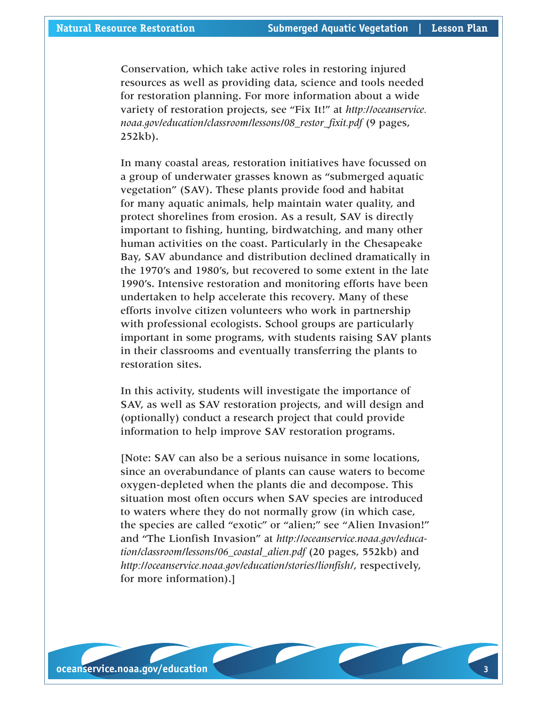Conservation, which take active roles in restoring injured resources as well as providing data, science and tools needed for restoration planning. For more information about a wide variety of restoration projects, see "Fix It!" at *http://oceanservice. noaa.gov/education/classroom/lessons/08\_restor\_fixit.pdf* (9 pages, 252kb).

In many coastal areas, restoration initiatives have focussed on a group of underwater grasses known as "submerged aquatic vegetation" (SAV). These plants provide food and habitat for many aquatic animals, help maintain water quality, and protect shorelines from erosion. As a result, SAV is directly important to fishing, hunting, birdwatching, and many other human activities on the coast. Particularly in the Chesapeake Bay, SAV abundance and distribution declined dramatically in the 1970's and 1980's, but recovered to some extent in the late 1990's. Intensive restoration and monitoring efforts have been undertaken to help accelerate this recovery. Many of these efforts involve citizen volunteers who work in partnership with professional ecologists. School groups are particularly important in some programs, with students raising SAV plants in their classrooms and eventually transferring the plants to restoration sites.

In this activity, students will investigate the importance of SAV, as well as SAV restoration projects, and will design and (optionally) conduct a research project that could provide information to help improve SAV restoration programs.

[Note: SAV can also be a serious nuisance in some locations, since an overabundance of plants can cause waters to become oxygen-depleted when the plants die and decompose. This situation most often occurs when SAV species are introduced to waters where they do not normally grow (in which case, the species are called "exotic" or "alien;" see "Alien Invasion!" and "The Lionfish Invasion" at *http://oceanservice.noaa.gov/education/classroom/lessons/06\_coastal\_alien.pdf* (20 pages, 552kb) and *http://oceanservice.noaa.gov/education/stories/lionfish/*, respectively, for more information).]

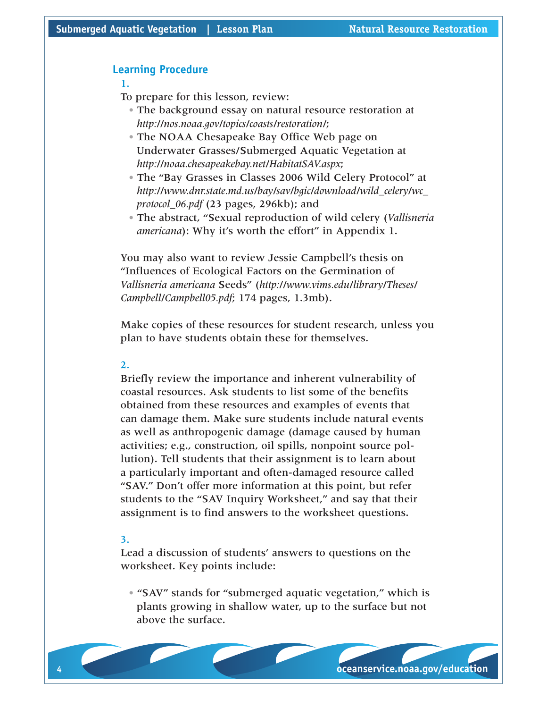## **Learning Procedure**

#### 1.

To prepare for this lesson, review:

- The background essay on natural resource restoration at *http://nos.noaa.gov/topics/coasts/restoration/*;
- The NOAA Chesapeake Bay Office Web page on Underwater Grasses/Submerged Aquatic Vegetation at *http://noaa.chesapeakebay.net/HabitatSAV.aspx*;
- The "Bay Grasses in Classes 2006 Wild Celery Protocol" at *http://www.dnr.state.md.us/bay/sav/bgic/download/wild\_celery/wc\_ protocol\_06.pdf* (23 pages, 296kb); and
- The abstract, "Sexual reproduction of wild celery (*Vallisneria americana*): Why it's worth the effort" in Appendix 1.

You may also want to review Jessie Campbell's thesis on "Influences of Ecological Factors on the Germination of *Vallisneria americana* Seeds" (*http://www.vims.edu/library/Theses/ Campbell/Campbell05.pdf*; 174 pages, 1.3mb).

Make copies of these resources for student research, unless you plan to have students obtain these for themselves.

#### 2.

Briefly review the importance and inherent vulnerability of coastal resources. Ask students to list some of the benefits obtained from these resources and examples of events that can damage them. Make sure students include natural events as well as anthropogenic damage (damage caused by human activities; e.g., construction, oil spills, nonpoint source pollution). Tell students that their assignment is to learn about a particularly important and often-damaged resource called "SAV." Don't offer more information at this point, but refer students to the "SAV Inquiry Worksheet," and say that their assignment is to find answers to the worksheet questions.

#### 3.

Lead a discussion of students' answers to questions on the worksheet. Key points include:

• "SAV" stands for "submerged aquatic vegetation," which is plants growing in shallow water, up to the surface but not above the surface.

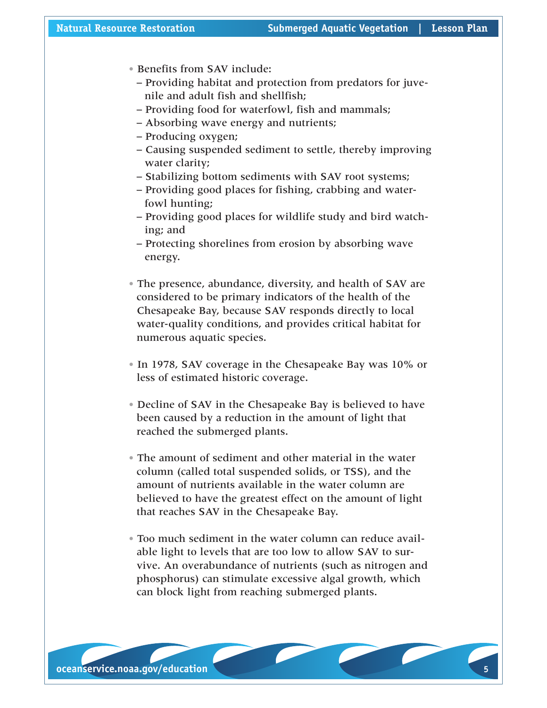- Benefits from SAV include:
	- Providing habitat and protection from predators for juvenile and adult fish and shellfish;
	- Providing food for waterfowl, fish and mammals;
	- Absorbing wave energy and nutrients;
	- Producing oxygen;
	- Causing suspended sediment to settle, thereby improving water clarity;
	- Stabilizing bottom sediments with SAV root systems;
	- Providing good places for fishing, crabbing and waterfowl hunting;
	- Providing good places for wildlife study and bird watching; and
	- Protecting shorelines from erosion by absorbing wave energy.
- The presence, abundance, diversity, and health of SAV are considered to be primary indicators of the health of the Chesapeake Bay, because SAV responds directly to local water-quality conditions, and provides critical habitat for numerous aquatic species.
- In 1978, SAV coverage in the Chesapeake Bay was 10% or less of estimated historic coverage.
- Decline of SAV in the Chesapeake Bay is believed to have been caused by a reduction in the amount of light that reached the submerged plants.
- The amount of sediment and other material in the water column (called total suspended solids, or TSS), and the amount of nutrients available in the water column are believed to have the greatest effect on the amount of light that reaches SAV in the Chesapeake Bay.
- Too much sediment in the water column can reduce available light to levels that are too low to allow SAV to survive. An overabundance of nutrients (such as nitrogen and phosphorus) can stimulate excessive algal growth, which can block light from reaching submerged plants.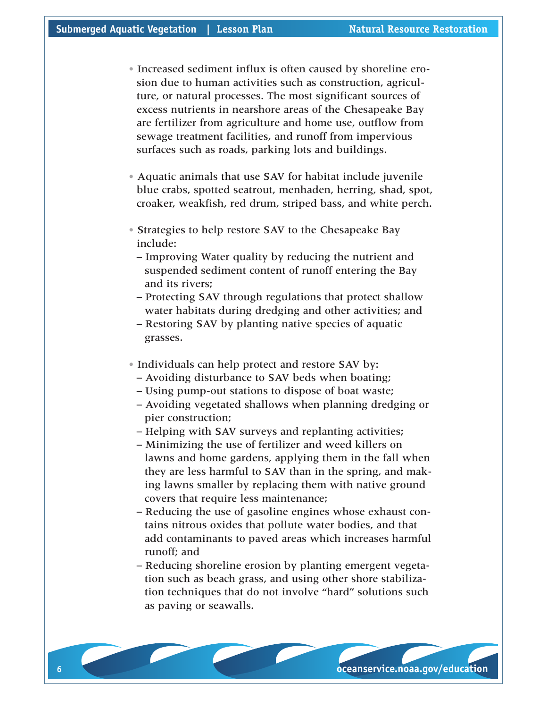- Increased sediment influx is often caused by shoreline erosion due to human activities such as construction, agriculture, or natural processes. The most significant sources of excess nutrients in nearshore areas of the Chesapeake Bay are fertilizer from agriculture and home use, outflow from sewage treatment facilities, and runoff from impervious surfaces such as roads, parking lots and buildings.
- Aquatic animals that use SAV for habitat include juvenile blue crabs, spotted seatrout, menhaden, herring, shad, spot, croaker, weakfish, red drum, striped bass, and white perch.
- Strategies to help restore SAV to the Chesapeake Bay include:
	- Improving Water quality by reducing the nutrient and suspended sediment content of runoff entering the Bay and its rivers;
	- Protecting SAV through regulations that protect shallow water habitats during dredging and other activities; and
	- Restoring SAV by planting native species of aquatic grasses.
- Individuals can help protect and restore SAV by:
	- Avoiding disturbance to SAV beds when boating;
	- Using pump-out stations to dispose of boat waste;
	- Avoiding vegetated shallows when planning dredging or pier construction;
	- Helping with SAV surveys and replanting activities;
	- Minimizing the use of fertilizer and weed killers on lawns and home gardens, applying them in the fall when they are less harmful to SAV than in the spring, and making lawns smaller by replacing them with native ground covers that require less maintenance;
	- Reducing the use of gasoline engines whose exhaust contains nitrous oxides that pollute water bodies, and that add contaminants to paved areas which increases harmful runoff; and
	- Reducing shoreline erosion by planting emergent vegetation such as beach grass, and using other shore stabilization techniques that do not involve "hard" solutions such as paving or seawalls.

 **oceanservice.noaa.gov/education**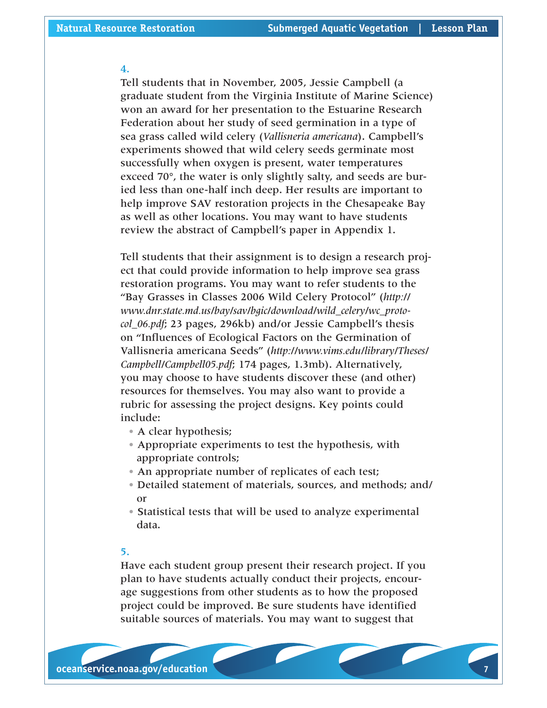#### 4.

Tell students that in November, 2005, Jessie Campbell (a graduate student from the Virginia Institute of Marine Science) won an award for her presentation to the Estuarine Research Federation about her study of seed germination in a type of sea grass called wild celery (*Vallisneria americana*). Campbell's experiments showed that wild celery seeds germinate most successfully when oxygen is present, water temperatures exceed 70°, the water is only slightly salty, and seeds are buried less than one-half inch deep. Her results are important to help improve SAV restoration projects in the Chesapeake Bay as well as other locations. You may want to have students review the abstract of Campbell's paper in Appendix 1.

Tell students that their assignment is to design a research project that could provide information to help improve sea grass restoration programs. You may want to refer students to the "Bay Grasses in Classes 2006 Wild Celery Protocol" (*http:// www.dnr.state.md.us/bay/sav/bgic/download/wild\_celery/wc\_protocol\_06.pdf*; 23 pages, 296kb) and/or Jessie Campbell's thesis on "Influences of Ecological Factors on the Germination of Vallisneria americana Seeds" (*http://www.vims.edu/library/Theses/ Campbell/Campbell05.pdf*; 174 pages, 1.3mb). Alternatively, you may choose to have students discover these (and other) resources for themselves. You may also want to provide a rubric for assessing the project designs. Key points could include:

- A clear hypothesis;
- Appropriate experiments to test the hypothesis, with appropriate controls;
- An appropriate number of replicates of each test;
- Detailed statement of materials, sources, and methods; and/ or
- Statistical tests that will be used to analyze experimental data.

## 5.

Have each student group present their research project. If you plan to have students actually conduct their projects, encourage suggestions from other students as to how the proposed project could be improved. Be sure students have identified suitable sources of materials. You may want to suggest that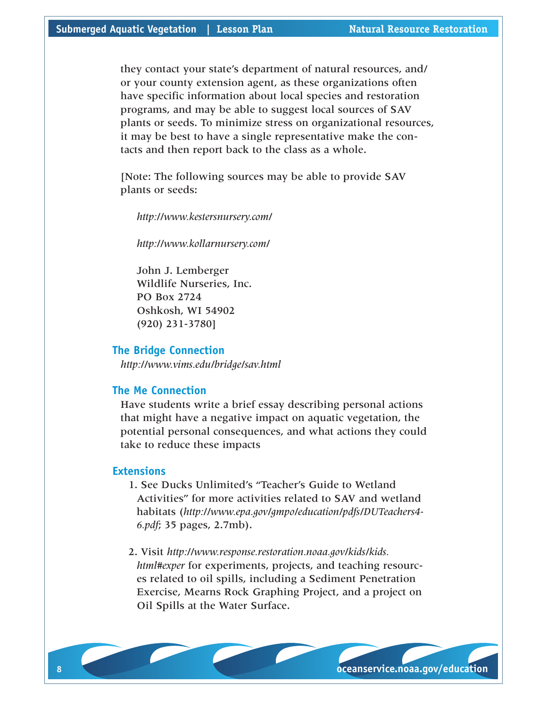they contact your state's department of natural resources, and/ or your county extension agent, as these organizations often have specific information about local species and restoration programs, and may be able to suggest local sources of SAV plants or seeds. To minimize stress on organizational resources, it may be best to have a single representative make the contacts and then report back to the class as a whole.

[Note: The following sources may be able to provide SAV plants or seeds:

*http://www.kestersnursery.com/*

*http://www.kollarnursery.com/*

John J. Lemberger Wildlife Nurseries, Inc. PO Box 2724 Oshkosh, WI 54902 (920) 231-3780]

#### **The Bridge Connection**

*http://www.vims.edu/bridge/sav.html*

### **The Me Connection**

Have students write a brief essay describing personal actions that might have a negative impact on aquatic vegetation, the potential personal consequences, and what actions they could take to reduce these impacts

### **Extensions**

1. See Ducks Unlimited's "Teacher's Guide to Wetland Activities" for more activities related to SAV and wetland habitats (*http://www.epa.gov/gmpo/education/pdfs/DUTeachers4- 6.pdf*; 35 pages, 2.7mb).

2. Visit *http://www.response.restoration.noaa.gov/kids/kids. html#exper* for experiments, projects, and teaching resources related to oil spills, including a Sediment Penetration Exercise, Mearns Rock Graphing Project, and a project on Oil Spills at the Water Surface.

 **oceanservice.noaa.gov/education**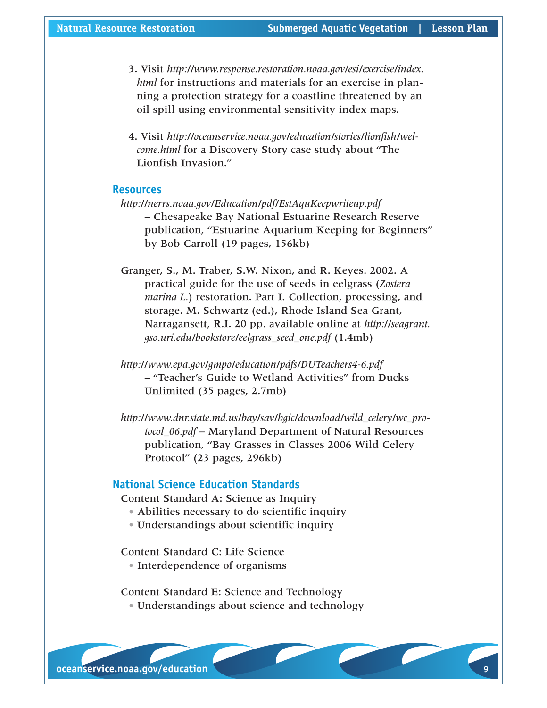- 3. Visit *http://www.response.restoration.noaa.gov/esi/exercise/index. html* for instructions and materials for an exercise in planning a protection strategy for a coastline threatened by an oil spill using environmental sensitivity index maps.
- 4. Visit *http://oceanservice.noaa.gov/education/stories/lionfish/welcome.html* for a Discovery Story case study about "The Lionfish Invasion."

#### **Resources**

- *http://nerrs.noaa.gov/Education/pdf/EstAquKeepwriteup.pdf* – Chesapeake Bay National Estuarine Research Reserve publication, "Estuarine Aquarium Keeping for Beginners" by Bob Carroll (19 pages, 156kb)
- Granger, S., M. Traber, S.W. Nixon, and R. Keyes. 2002. A practical guide for the use of seeds in eelgrass (*Zostera marina L.*) restoration. Part I. Collection, processing, and storage. M. Schwartz (ed.), Rhode Island Sea Grant, Narragansett, R.I. 20 pp. available online at *http://seagrant. gso.uri.edu/bookstore/eelgrass\_seed\_one.pdf* (1.4mb)
- *http://www.epa.gov/gmpo/education/pdfs/DUTeachers4-6.pdf* – "Teacher's Guide to Wetland Activities" from Ducks Unlimited (35 pages, 2.7mb)
- *http://www.dnr.state.md.us/bay/sav/bgic/download/wild\_celery/wc\_protocol\_06.pdf* – Maryland Department of Natural Resources publication, "Bay Grasses in Classes 2006 Wild Celery Protocol" (23 pages, 296kb)

## **National Science Education Standards**

Content Standard A: Science as Inquiry

- Abilities necessary to do scientific inquiry
- Understandings about scientific inquiry

Content Standard C: Life Science

• Interdependence of organisms

Content Standard E: Science and Technology • Understandings about science and technology

**oceanservice.noaa.gov/education**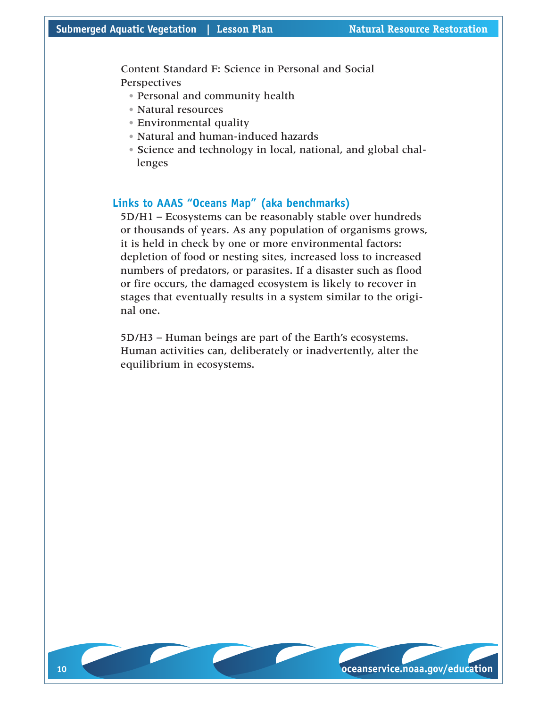Content Standard F: Science in Personal and Social **Perspectives** 

- Personal and community health
- Natural resources
- Environmental quality
- Natural and human-induced hazards
- Science and technology in local, national, and global challenges

## **Links to AAAS "Oceans Map" (aka benchmarks)**

5D/H1 – Ecosystems can be reasonably stable over hundreds or thousands of years. As any population of organisms grows, it is held in check by one or more environmental factors: depletion of food or nesting sites, increased loss to increased numbers of predators, or parasites. If a disaster such as flood or fire occurs, the damaged ecosystem is likely to recover in stages that eventually results in a system similar to the original one.

5D/H3 – Human beings are part of the Earth's ecosystems. Human activities can, deliberately or inadvertently, alter the equilibrium in ecosystems.

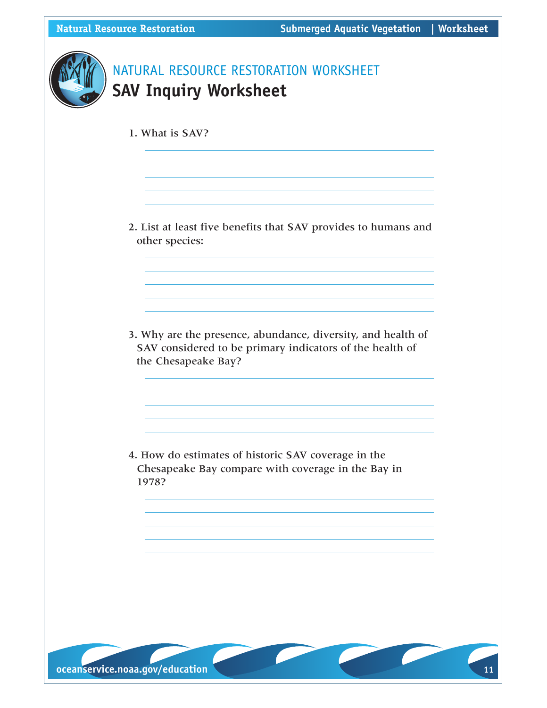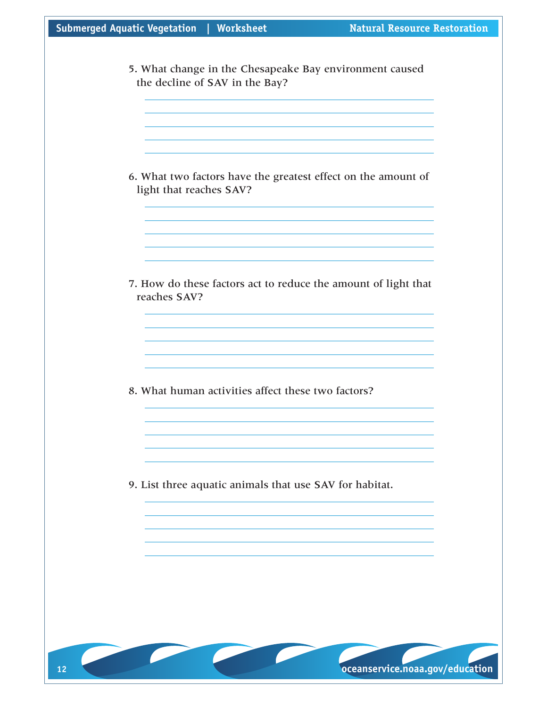|  |  | Submerged Aquatic Vegetation | Worksheet |
|--|--|------------------------------|-----------|
|--|--|------------------------------|-----------|

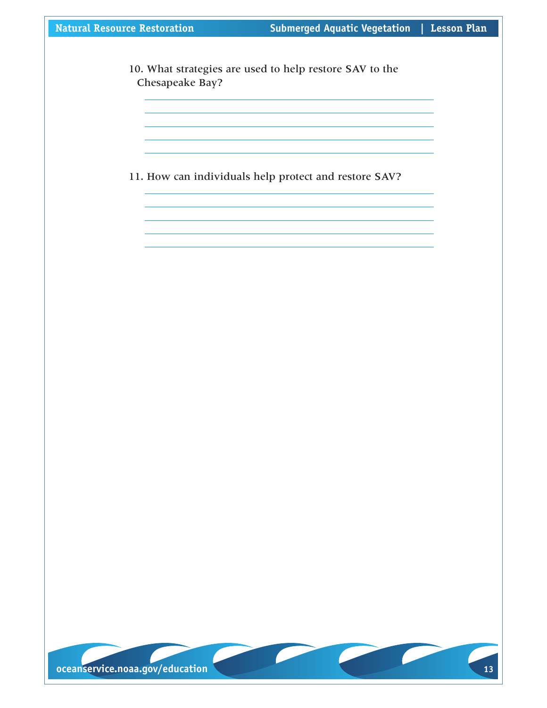10. What strategies are used to help restore SAV to the Chesapeake Bay?

11. How can individuals help protect and restore SAV?